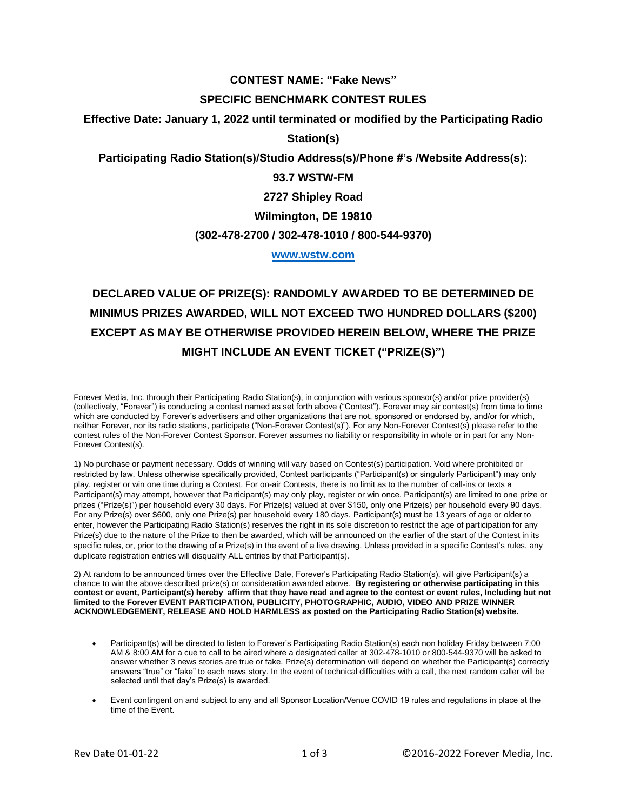# **CONTEST NAME: "Fake News"**

#### **SPECIFIC BENCHMARK CONTEST RULES**

**Effective Date: January 1, 2022 until terminated or modified by the Participating Radio** 

**Station(s)**

**Participating Radio Station(s)/Studio Address(s)/Phone #'s /Website Address(s):**

# **93.7 WSTW-FM**

**2727 Shipley Road**

### **Wilmington, DE 19810**

#### **(302-478-2700 / 302-478-1010 / 800-544-9370)**

#### **[www.wstw.com](http://www.wstw.com/)**

# **DECLARED VALUE OF PRIZE(S): RANDOMLY AWARDED TO BE DETERMINED DE MINIMUS PRIZES AWARDED, WILL NOT EXCEED TWO HUNDRED DOLLARS (\$200) EXCEPT AS MAY BE OTHERWISE PROVIDED HEREIN BELOW, WHERE THE PRIZE MIGHT INCLUDE AN EVENT TICKET ("PRIZE(S)")**

Forever Media, Inc. through their Participating Radio Station(s), in conjunction with various sponsor(s) and/or prize provider(s) (collectively, "Forever") is conducting a contest named as set forth above ("Contest"). Forever may air contest(s) from time to time which are conducted by Forever's advertisers and other organizations that are not, sponsored or endorsed by, and/or for which, neither Forever, nor its radio stations, participate ("Non-Forever Contest(s)"). For any Non-Forever Contest(s) please refer to the contest rules of the Non-Forever Contest Sponsor. Forever assumes no liability or responsibility in whole or in part for any Non-Forever Contest(s).

1) No purchase or payment necessary. Odds of winning will vary based on Contest(s) participation. Void where prohibited or restricted by law. Unless otherwise specifically provided, Contest participants ("Participant(s) or singularly Participant") may only play, register or win one time during a Contest. For on-air Contests, there is no limit as to the number of call-ins or texts a Participant(s) may attempt, however that Participant(s) may only play, register or win once. Participant(s) are limited to one prize or prizes ("Prize(s)") per household every 30 days. For Prize(s) valued at over \$150, only one Prize(s) per household every 90 days. For any Prize(s) over \$600, only one Prize(s) per household every 180 days. Participant(s) must be 13 years of age or older to enter, however the Participating Radio Station(s) reserves the right in its sole discretion to restrict the age of participation for any Prize(s) due to the nature of the Prize to then be awarded, which will be announced on the earlier of the start of the Contest in its specific rules, or, prior to the drawing of a Prize(s) in the event of a live drawing. Unless provided in a specific Contest's rules, any duplicate registration entries will disqualify ALL entries by that Participant(s).

2) At random to be announced times over the Effective Date, Forever's Participating Radio Station(s), will give Participant(s) a chance to win the above described prize(s) or consideration awarded above. **By registering or otherwise participating in this contest or event, Participant(s) hereby affirm that they have read and agree to the contest or event rules, Including but not limited to the Forever EVENT PARTICIPATION, PUBLICITY, PHOTOGRAPHIC, AUDIO, VIDEO AND PRIZE WINNER ACKNOWLEDGEMENT, RELEASE AND HOLD HARMLESS as posted on the Participating Radio Station(s) website.**

- Participant(s) will be directed to listen to Forever's Participating Radio Station(s) each non holiday Friday between 7:00 AM & 8:00 AM for a cue to call to be aired where a designated caller at 302-478-1010 or 800-544-9370 will be asked to answer whether 3 news stories are true or fake. Prize(s) determination will depend on whether the Participant(s) correctly answers "true" or "fake" to each news story. In the event of technical difficulties with a call, the next random caller will be selected until that day's Prize(s) is awarded.
- Event contingent on and subject to any and all Sponsor Location/Venue COVID 19 rules and regulations in place at the time of the Event.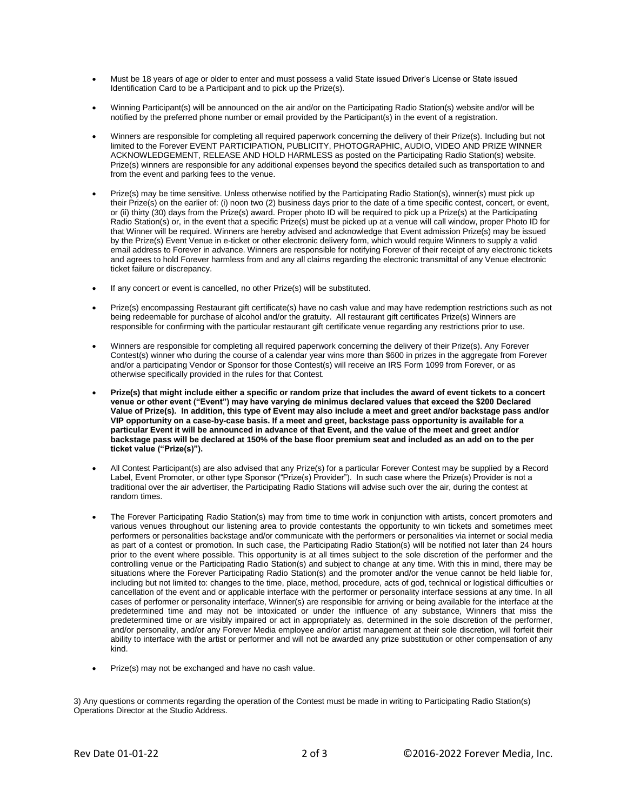- Must be 18 years of age or older to enter and must possess a valid State issued Driver's License or State issued Identification Card to be a Participant and to pick up the Prize(s).
- Winning Participant(s) will be announced on the air and/or on the Participating Radio Station(s) website and/or will be notified by the preferred phone number or email provided by the Participant(s) in the event of a registration.
- Winners are responsible for completing all required paperwork concerning the delivery of their Prize(s). Including but not limited to the Forever EVENT PARTICIPATION, PUBLICITY, PHOTOGRAPHIC, AUDIO, VIDEO AND PRIZE WINNER ACKNOWLEDGEMENT, RELEASE AND HOLD HARMLESS as posted on the Participating Radio Station(s) website. Prize(s) winners are responsible for any additional expenses beyond the specifics detailed such as transportation to and from the event and parking fees to the venue.
- Prize(s) may be time sensitive. Unless otherwise notified by the Participating Radio Station(s), winner(s) must pick up their Prize(s) on the earlier of: (i) noon two (2) business days prior to the date of a time specific contest, concert, or event, or (ii) thirty (30) days from the Prize(s) award. Proper photo ID will be required to pick up a Prize(s) at the Participating Radio Station(s) or, in the event that a specific Prize(s) must be picked up at a venue will call window, proper Photo ID for that Winner will be required. Winners are hereby advised and acknowledge that Event admission Prize(s) may be issued by the Prize(s) Event Venue in e-ticket or other electronic delivery form, which would require Winners to supply a valid email address to Forever in advance. Winners are responsible for notifying Forever of their receipt of any electronic tickets and agrees to hold Forever harmless from and any all claims regarding the electronic transmittal of any Venue electronic ticket failure or discrepancy.
- If any concert or event is cancelled, no other Prize(s) will be substituted.
- Prize(s) encompassing Restaurant gift certificate(s) have no cash value and may have redemption restrictions such as not being redeemable for purchase of alcohol and/or the gratuity. All restaurant gift certificates Prize(s) Winners are responsible for confirming with the particular restaurant gift certificate venue regarding any restrictions prior to use.
- Winners are responsible for completing all required paperwork concerning the delivery of their Prize(s). Any Forever Contest(s) winner who during the course of a calendar year wins more than \$600 in prizes in the aggregate from Forever and/or a participating Vendor or Sponsor for those Contest(s) will receive an IRS Form 1099 from Forever, or as otherwise specifically provided in the rules for that Contest.
- **Prize(s) that might include either a specific or random prize that includes the award of event tickets to a concert venue or other event ("Event") may have varying de minimus declared values that exceed the \$200 Declared Value of Prize(s). In addition, this type of Event may also include a meet and greet and/or backstage pass and/or VIP opportunity on a case-by-case basis. If a meet and greet, backstage pass opportunity is available for a particular Event it will be announced in advance of that Event, and the value of the meet and greet and/or backstage pass will be declared at 150% of the base floor premium seat and included as an add on to the per ticket value ("Prize(s)").**
- All Contest Participant(s) are also advised that any Prize(s) for a particular Forever Contest may be supplied by a Record Label, Event Promoter, or other type Sponsor ("Prize(s) Provider"). In such case where the Prize(s) Provider is not a traditional over the air advertiser, the Participating Radio Stations will advise such over the air, during the contest at random times.
- The Forever Participating Radio Station(s) may from time to time work in conjunction with artists, concert promoters and various venues throughout our listening area to provide contestants the opportunity to win tickets and sometimes meet performers or personalities backstage and/or communicate with the performers or personalities via internet or social media as part of a contest or promotion. In such case, the Participating Radio Station(s) will be notified not later than 24 hours prior to the event where possible. This opportunity is at all times subject to the sole discretion of the performer and the controlling venue or the Participating Radio Station(s) and subject to change at any time. With this in mind, there may be situations where the Forever Participating Radio Station(s) and the promoter and/or the venue cannot be held liable for, including but not limited to: changes to the time, place, method, procedure, acts of god, technical or logistical difficulties or cancellation of the event and or applicable interface with the performer or personality interface sessions at any time. In all cases of performer or personality interface, Winner(s) are responsible for arriving or being available for the interface at the predetermined time and may not be intoxicated or under the influence of any substance, Winners that miss the predetermined time or are visibly impaired or act in appropriately as, determined in the sole discretion of the performer, and/or personality, and/or any Forever Media employee and/or artist management at their sole discretion, will forfeit their ability to interface with the artist or performer and will not be awarded any prize substitution or other compensation of any kind.
- Prize(s) may not be exchanged and have no cash value.

3) Any questions or comments regarding the operation of the Contest must be made in writing to Participating Radio Station(s) Operations Director at the Studio Address.